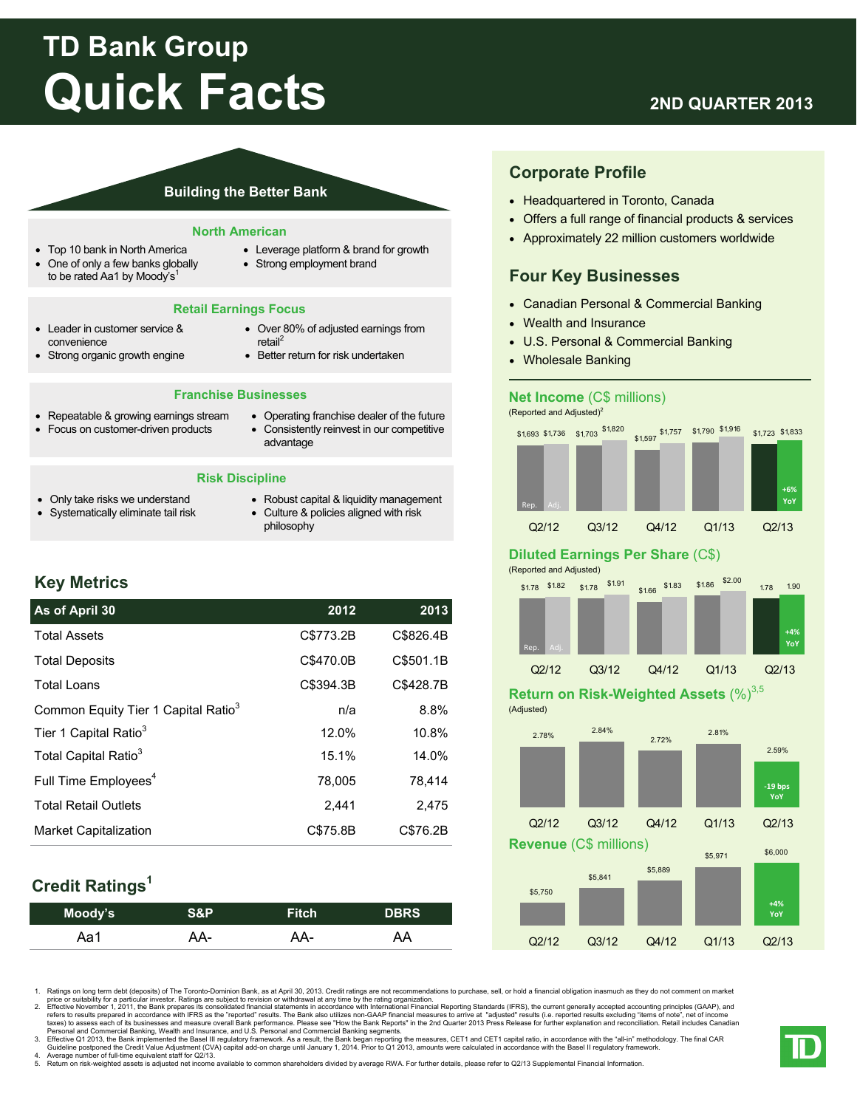# **TD Bank Group Quick Facts**

## **2ND QUARTER 2013**

#### **Building the Better Bank**

#### **North American**

- Top 10 bank in North America
- One of only a few banks globally to be rated Aa1 by Moody's<sup>1</sup>
- Leverage platform & brand for growth
- Strong employment brand

#### **Retail Earnings Focus**

- Leader in customer service & convenience
- Strong organic growth engine
- Over 80% of adjusted earnings from retail<sup>2</sup>
- Better return for risk undertaken

#### **Franchise Businesses**

- Repeatable & growing earnings stream
- Focus on customer-driven products
- Operating franchise dealer of the future Consistently reinvest in our competitive advantage

#### **Risk Discipline**

- Only take risks we understand Systematically eliminate tail risk
- Robust capital & liquidity management Culture & policies aligned with risk
- philosophy

## **Key Metrics**

## **As of April 30 2012 2013**  Total Assets C\$773.2B C\$826.4B Total Deposits C\$470.0B C\$501.1B Total Loans C\$394.3B C\$428.7B Tier 1 Capital Ratio<sup>3</sup> 12.0% 10.8% Total Capital Ratio<sup>3</sup> 15.1% 14.0% Full Time  $Emplovees<sup>4</sup>$  78,005 78,414 Total Retail Outlets 2,441 2,475 Market Capitalization C\$75.8B C\$76.2B Common Equity Tier 1 Capital Ratio<sup>3</sup> n/a  $\qquad \qquad$  8.8%

## **Credit Ratings1**

| Moody's | <b>S&amp;P</b> | <b>Fitch</b> | <b>DBRS</b> |
|---------|----------------|--------------|-------------|
| Aa1     | AA-            | AA-          | AA          |

## **Corporate Profile**

- Headquartered in Toronto, Canada
- Offers a full range of financial products & services
- Approximately 22 million customers worldwide

## **Four Key Businesses**

- Canadian Personal & Commercial Banking
- Wealth and Insurance
- U.S. Personal & Commercial Banking
- Wholesale Banking

#### **Net Income** (C\$ millions)

(Reported and Adjusted)<sup>2</sup>



### **Diluted Earnings Per Share** (C\$)

(Reported and Adjusted)



## **Return on Risk-Weighted Assets (%)**3,5

(Adjusted)



1. Ratings on long term debt (deposits) of The Toronto-Dominion Bank, as at April 30, 2013. Credit ratings are not recommendations to purchase, sell, or hold a financial obligation inasmuch as they do not comment on market

price or suitability for a particular investor. Ratings are subject to revision or withdrawal at any time by the rating organization.<br>2. Effective November 1, 2011, the Bank prepares its consolidated financial statements i

3. Effective Q1 2013, the Bank implemented the Basel III regulatory framework. As a result, the Bank began reporting the measures, CET1 and CET1 capital ratio, in accordance with the "all-in" methodology. The final CAR

Guideline postponed the Credit Value Adjustment (CVA) capital add-on charge until January 1, 2014. Prior to Q1 2013, amounts were calculated in accordance with the Basel II regulatory framework.<br>4. Average number of ful